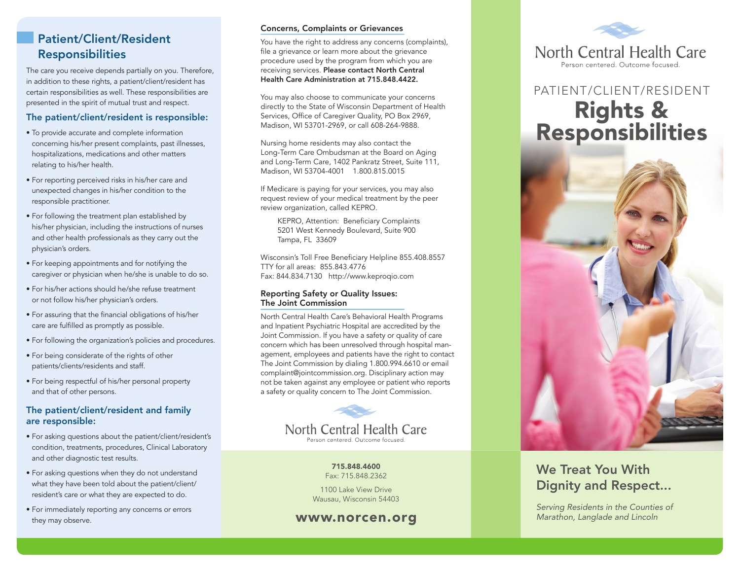#### Patient/Client/Resident Responsibilities

The care you receive depends partially on you. Therefore, in addition to these rights, a patient/client/resident has certain responsibilities as well. These responsibilities are presented in the spirit of mutual trust and respect.

#### The patient/client/resident is responsible:

- To provide accurate and complete information concerning his/her present complaints, past illnesses, hospitalizations, medications and other matters relating to his/her health.
- For reporting perceived risks in his/her care and unexpected changes in his/her condition to the responsible practitioner.
- For following the treatment plan established by his/her physician, including the instructions of nurses and other health professionals as they carry out the physician's orders.
- For keeping appointments and for notifying the caregiver or physician when he/she is unable to do so.
- For his/her actions should he/she refuse treatment or not follow his/her physician's orders.
- For assuring that the financial obligations of his/her care are fulfilled as promptly as possible.
- For following the organization's policies and procedures.
- For being considerate of the rights of other patients/clients/residents and staff.
- For being respectful of his/her personal property and that of other persons.

#### The patient/client/resident and family are responsible:

- For asking questions about the patient/client/resident's condition, treatments, procedures, Clinical Laboratory and other diagnostic test results.
- For asking questions when they do not understand what they have been told about the patient/client/ resident's care or what they are expected to do.
- For immediately reporting any concerns or errors they may observe.

#### Concerns, Complaints or Grievances

You have the right to address any concerns (complaints), file a grievance or learn more about the grievance procedure used by the program from which you are receiving services. Please contact North Central Health Care Administration at 715.848.4422.

You may also choose to communicate your concerns directly to the State of Wisconsin Department of Health Services, Office of Caregiver Quality, PO Box 2969, Madison, WI 53701-2969, or call 608-264-9888.

Nursing home residents may also contact the Long-Term Care Ombudsman at the Board on Aging and Long-Term Care, 1402 Pankratz Street, Suite 111, Madison, WI 53704-4001 1.800.815.0015

If Medicare is paying for your services, you may also request review of your medical treatment by the peer review organization, called KEPRO.

KEPRO, Attention: Beneficiary Complaints 5201 West Kennedy Boulevard, Suite 900 Tampa, FL 33609

Wisconsin's Toll Free Beneficiary Helpline 855.408.8557 TTY for all areas: 855.843.4776 Fax: 844.834.7130 http://www.keproqio.com

#### Reporting Safety or Quality Issues: The Joint Commission

North Central Health Care's Behavioral Health Programs and Inpatient Psychiatric Hospital are accredited by the Joint Commission. If you have a safety or quality of care concern which has been unresolved through hospital management, employees and patients have the right to contact The Joint Commission by dialing 1.800.994.6610 or email complaint@jointcommission.org. Disciplinary action may not be taken against any employee or patient who reports a safety or quality concern to The Joint Commission.



715.848.4600 Fax: 715.848.2362

1100 Lake View Drive Wausau, Wisconsin 54403



# PATIENT/CLIENT/RESIDENT Rights &<br>Responsibilities



## We Treat You With Dignity and Respect...

*Serving Residents in the Counties of*  www.norcen.org *Marathon, Langlade and Lincoln*